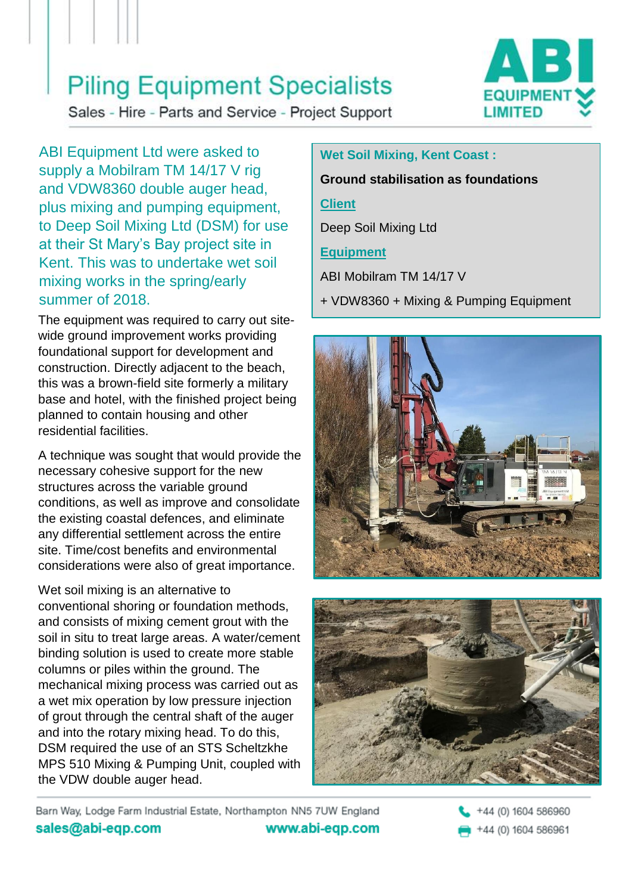## **Piling Equipment Specialists**



Sales - Hire - Parts and Service - Project Support

ABI Equipment Ltd were asked to supply a Mobilram TM 14/17 V rig and VDW8360 double auger head, plus mixing and pumping equipment, to Deep Soil Mixing Ltd (DSM) for use at their St Mary's Bay project site in Kent. This was to undertake wet soil mixing works in the spring/early summer of 2018.

The equipment was required to carry out sitewide ground improvement works providing foundational support for development and construction. Directly adjacent to the beach, this was a brown-field site formerly a military base and hotel, with the finished project being planned to contain housing and other residential facilities.

A technique was sought that would provide the necessary cohesive support for the new structures across the variable ground conditions, as well as improve and consolidate the existing coastal defences, and eliminate any differential settlement across the entire site. Time/cost benefits and environmental considerations were also of great importance.

Wet soil mixing is an alternative to conventional shoring or foundation methods, and consists of mixing cement grout with the soil in situ to treat large areas. A water/cement binding solution is used to create more stable columns or piles within the ground. The mechanical mixing process was carried out as a wet mix operation by low pressure injection of grout through the central shaft of the auger and into the rotary mixing head. To do this, DSM required the use of an STS Scheltzkhe MPS 510 Mixing & Pumping Unit, coupled with the VDW double auger head.

## **Wet Soil Mixing, Kent Coast :**

#### **Ground stabilisation as foundations**

#### **Client**

Deep Soil Mixing Ltd

## **Equipment**

ABI Mobilram TM 14/17 V

+ VDW8360 + Mixing & Pumping Equipment





Barn Way, Lodge Farm Industrial Estate, Northampton NN5 7UW England sales@abi-eqp.com www.abi-eqp.com

+44 (0) 1604 586960 +44 (0) 1604 586961